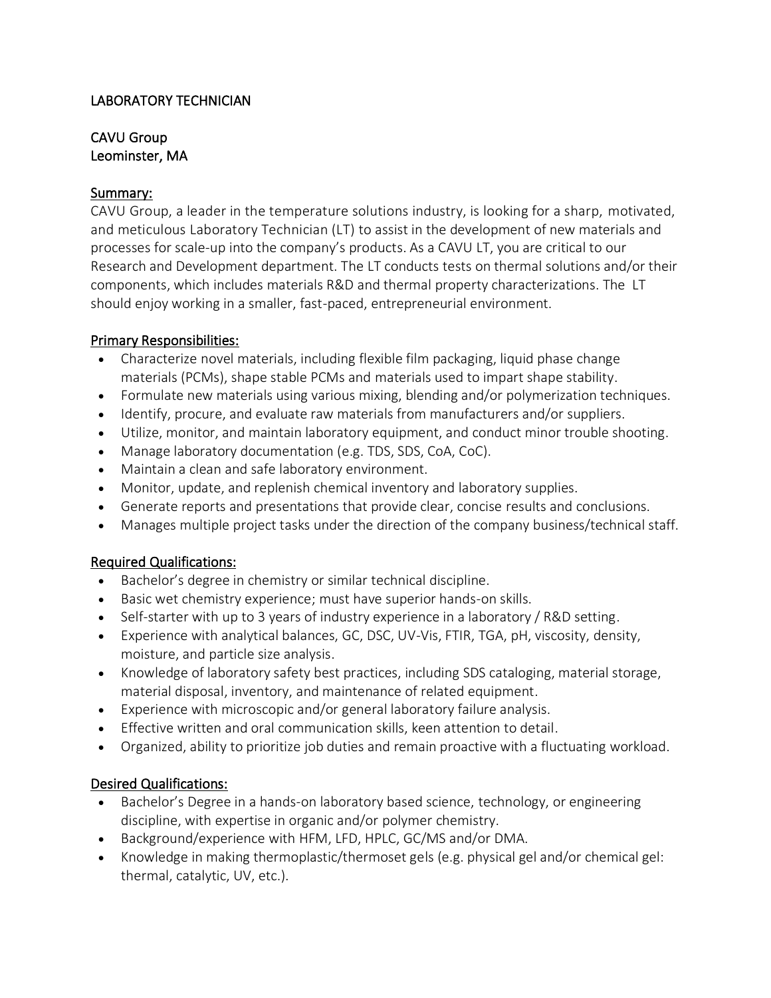### LABORATORY TECHNICIAN

## CAVU Group Leominster, MA

#### Summary:

CAVU Group, a leader in the temperature solutions industry, is looking for a sharp, motivated, and meticulous Laboratory Technician (LT) to assist in the development of new materials and processes for scale-up into the company's products. As a CAVU LT, you are critical to our Research and Development department. The LT conducts tests on thermal solutions and/or their components, which includes materials R&D and thermal property characterizations. The LT should enjoy working in a smaller, fast-paced, entrepreneurial environment.

#### Primary Responsibilities:

- Characterize novel materials, including flexible film packaging, liquid phase change materials (PCMs), shape stable PCMs and materials used to impart shape stability.
- Formulate new materials using various mixing, blending and/or polymerization techniques.
- Identify, procure, and evaluate raw materials from manufacturers and/or suppliers.
- Utilize, monitor, and maintain laboratory equipment, and conduct minor trouble shooting.
- Manage laboratory documentation (e.g. TDS, SDS, CoA, CoC).
- Maintain a clean and safe laboratory environment.
- Monitor, update, and replenish chemical inventory and laboratory supplies.
- Generate reports and presentations that provide clear, concise results and conclusions.
- Manages multiple project tasks under the direction of the company business/technical staff.

#### Required Qualifications:

- Bachelor's degree in chemistry or similar technical discipline.
- Basic wet chemistry experience; must have superior hands-on skills.
- Self-starter with up to 3 years of industry experience in a laboratory / R&D setting.
- Experience with analytical balances, GC, DSC, UV-Vis, FTIR, TGA, pH, viscosity, density, moisture, and particle size analysis.
- Knowledge of laboratory safety best practices, including SDS cataloging, material storage, material disposal, inventory, and maintenance of related equipment.
- Experience with microscopic and/or general laboratory failure analysis.
- Effective written and oral communication skills, keen attention to detail.
- Organized, ability to prioritize job duties and remain proactive with a fluctuating workload.

# Desired Qualifications:

- Bachelor's Degree in a hands-on laboratory based science, technology, or engineering discipline, with expertise in organic and/or polymer chemistry.
- Background/experience with HFM, LFD, HPLC, GC/MS and/or DMA.
- Knowledge in making thermoplastic/thermoset gels (e.g. physical gel and/or chemical gel: thermal, catalytic, UV, etc.).